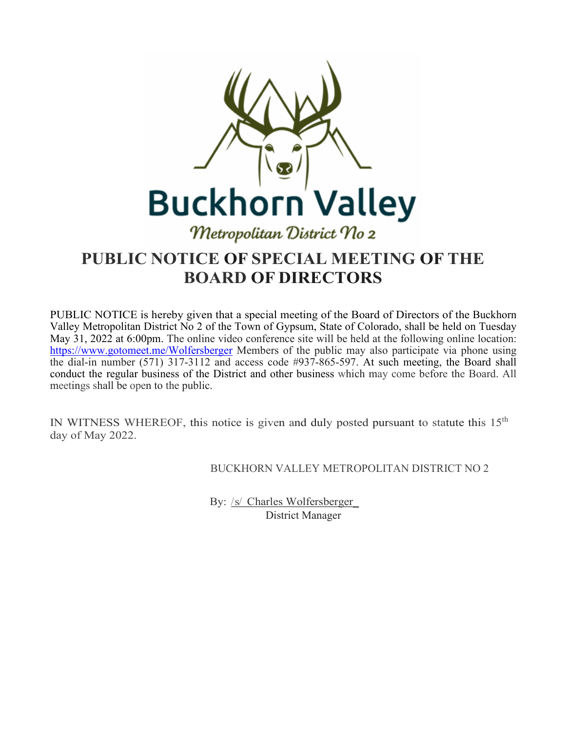

### **PUBLIC NOTICE OF SPECIAL MEETING OF THE BOARD OF DIRECTORS**

PUBLIC NOTICE is hereby given that a special meeting of the Board of Directors of the Buckhorn Valley Metropolitan District No 2 of the Town of Gypsum, State of Colorado, shall be held on Tuesday May 31, 2022 at 6:00pm. The online video conference site will be held at the following online location: <https://www.gotomeet.me/Wolfersberger> Members of the public may also participate via phone using the dial-in number (571) 317-3112 and access code #937-865-597. At such meeting, the Board shall conduct the regular business of the District and other business which may come before the Board. All meetings shall be open to the public.

IN WITNESS WHEREOF, this notice is given and duly posted pursuant to statute this  $15<sup>th</sup>$ day of May 2022.

BUCKHORN VALLEY METROPOLITAN DISTRICT NO 2

By: /s/ Charles Wolfersberger\_ District Manager